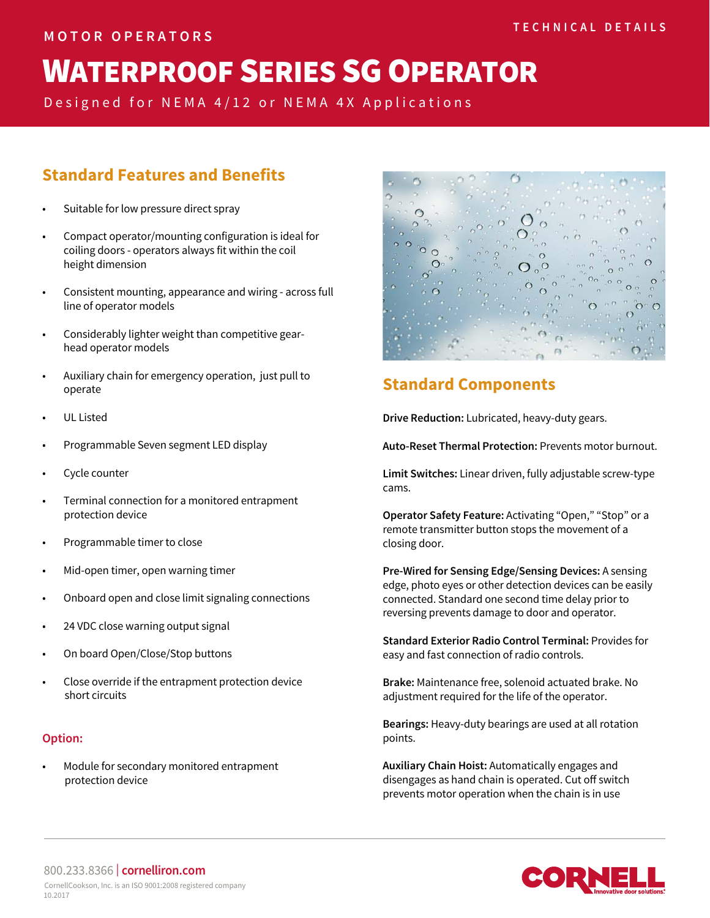# **WATERPROOF SERIES SG OPERATOR**

Designed for NEMA 4/12 or NEMA 4X Applications

## **Standard Features and Benefits**

- Suitable for low pressure direct spray
- Compact operator/mounting configuration is ideal for coiling doors - operators always fit within the coil height dimension
- Consistent mounting, appearance and wiring across full line of operator models
- Considerably lighter weight than competitive gear head operator models
- Auxiliary chain for emergency operation, just pull to operate
- UL Listed
- Programmable Seven segment LED display
- Cycle counter
- Terminal connection for a monitored entrapment protection device
- Programmable timer to close
- Mid-open timer, open warning timer
- Onboard open and close limit signaling connections
- 24 VDC close warning output signal
- On board Open/Close/Stop buttons
- Close override if the entrapment protection device short circuits

#### **Option:**

• Module for secondary monitored entrapment protection device



## **Standard Components**

**Drive Reduction:** Lubricated, heavy-duty gears.

**Auto-Reset Thermal Protection:** Prevents motor burnout.

**Limit Switches:** Linear driven, fully adjustable screw-type cams.

**Operator Safety Feature:** Activating "Open," "Stop" or a remote transmitter button stops the movement of a closing door.

**Pre-Wired for Sensing Edge/Sensing Devices:** A sensing edge, photo eyes or other detection devices can be easily connected. Standard one second time delay prior to reversing prevents damage to door and operator.

**Standard Exterior Radio Control Terminal:** Provides for easy and fast connection of radio controls.

**Brake:** Maintenance free, solenoid actuated brake. No adjustment required for the life of the operator.

**Bearings:** Heavy-duty bearings are used at all rotation points.

**Auxiliary Chain Hoist:** Automatically engages and disengages as hand chain is operated. Cut off switch prevents motor operation when the chain is in use